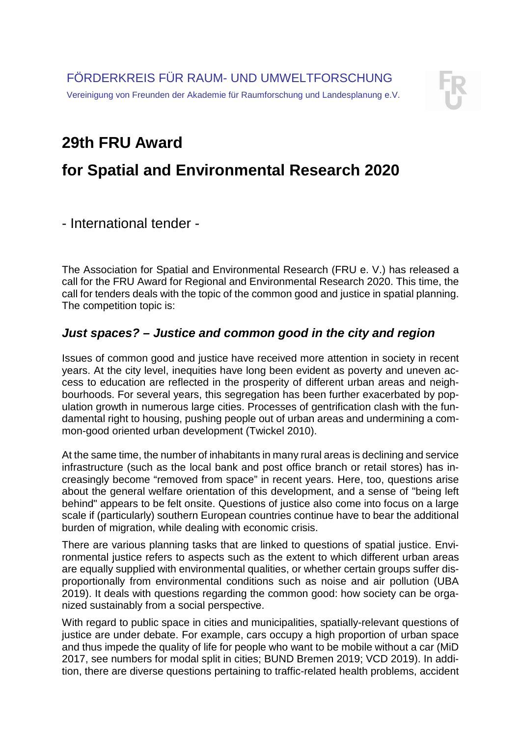

## **29th FRU Award**

# **for Spatial and Environmental Research 2020**

- International tender -

The Association for Spatial and Environmental Research (FRU e. V.) has released a call for the FRU Award for Regional and Environmental Research 2020. This time, the call for tenders deals with the topic of the common good and justice in spatial planning. The competition topic is:

### *Just spaces? – Justice and common good in the city and region*

Issues of common good and justice have received more attention in society in recent years. At the city level, inequities have long been evident as poverty and uneven access to education are reflected in the prosperity of different urban areas and neighbourhoods. For several years, this segregation has been further exacerbated by population growth in numerous large cities. Processes of gentrification clash with the fundamental right to housing, pushing people out of urban areas and undermining a common-good oriented urban development (Twickel 2010).

At the same time, the number of inhabitants in many rural areas is declining and service infrastructure (such as the local bank and post office branch or retail stores) has increasingly become "removed from space" in recent years. Here, too, questions arise about the general welfare orientation of this development, and a sense of "being left behind" appears to be felt onsite. Questions of justice also come into focus on a large scale if (particularly) southern European countries continue have to bear the additional burden of migration, while dealing with economic crisis.

There are various planning tasks that are linked to questions of spatial justice. Environmental justice refers to aspects such as the extent to which different urban areas are equally supplied with environmental qualities, or whether certain groups suffer disproportionally from environmental conditions such as noise and air pollution (UBA 2019). It deals with questions regarding the common good: how society can be organized sustainably from a social perspective.

With regard to public space in cities and municipalities, spatially-relevant questions of justice are under debate. For example, cars occupy a high proportion of urban space and thus impede the quality of life for people who want to be mobile without a car (MiD 2017, see numbers for modal split in cities; BUND Bremen 2019; VCD 2019). In addition, there are diverse questions pertaining to traffic-related health problems, accident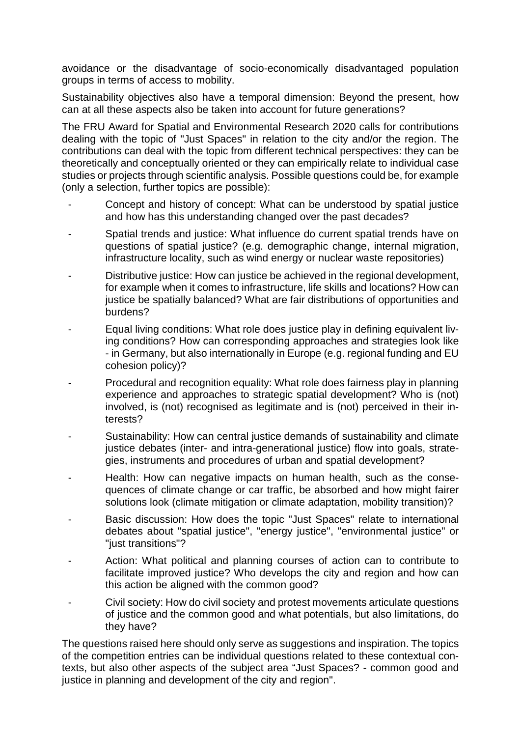avoidance or the disadvantage of socio-economically disadvantaged population groups in terms of access to mobility.

Sustainability objectives also have a temporal dimension: Beyond the present, how can at all these aspects also be taken into account for future generations?

The FRU Award for Spatial and Environmental Research 2020 calls for contributions dealing with the topic of "Just Spaces" in relation to the city and/or the region. The contributions can deal with the topic from different technical perspectives: they can be theoretically and conceptually oriented or they can empirically relate to individual case studies or projects through scientific analysis. Possible questions could be, for example (only a selection, further topics are possible):

- Concept and history of concept: What can be understood by spatial justice and how has this understanding changed over the past decades?
- Spatial trends and justice: What influence do current spatial trends have on questions of spatial justice? (e.g. demographic change, internal migration, infrastructure locality, such as wind energy or nuclear waste repositories)
- Distributive justice: How can justice be achieved in the regional development, for example when it comes to infrastructure, life skills and locations? How can justice be spatially balanced? What are fair distributions of opportunities and burdens?
- Equal living conditions: What role does justice play in defining equivalent living conditions? How can corresponding approaches and strategies look like - in Germany, but also internationally in Europe (e.g. regional funding and EU cohesion policy)?
- Procedural and recognition equality: What role does fairness play in planning experience and approaches to strategic spatial development? Who is (not) involved, is (not) recognised as legitimate and is (not) perceived in their interests?
- Sustainability: How can central justice demands of sustainability and climate justice debates (inter- and intra-generational justice) flow into goals, strategies, instruments and procedures of urban and spatial development?
- Health: How can negative impacts on human health, such as the consequences of climate change or car traffic, be absorbed and how might fairer solutions look (climate mitigation or climate adaptation, mobility transition)?
- Basic discussion: How does the topic "Just Spaces" relate to international debates about "spatial justice", "energy justice", "environmental justice" or "just transitions"?
- Action: What political and planning courses of action can to contribute to facilitate improved justice? Who develops the city and region and how can this action be aligned with the common good?
- Civil society: How do civil society and protest movements articulate questions of justice and the common good and what potentials, but also limitations, do they have?

The questions raised here should only serve as suggestions and inspiration. The topics of the competition entries can be individual questions related to these contextual contexts, but also other aspects of the subject area "Just Spaces? - common good and justice in planning and development of the city and region".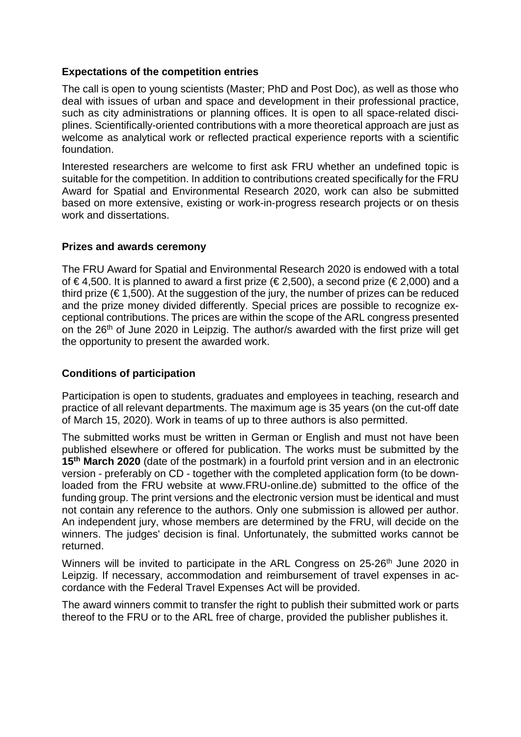#### **Expectations of the competition entries**

The call is open to young scientists (Master; PhD and Post Doc), as well as those who deal with issues of urban and space and development in their professional practice, such as city administrations or planning offices. It is open to all space-related disciplines. Scientifically-oriented contributions with a more theoretical approach are just as welcome as analytical work or reflected practical experience reports with a scientific foundation.

Interested researchers are welcome to first ask FRU whether an undefined topic is suitable for the competition. In addition to contributions created specifically for the FRU Award for Spatial and Environmental Research 2020, work can also be submitted based on more extensive, existing or work-in-progress research projects or on thesis work and dissertations.

#### **Prizes and awards ceremony**

The FRU Award for Spatial and Environmental Research 2020 is endowed with a total of  $\epsilon$ 4,500. It is planned to award a first prize ( $\epsilon$ 2,500), a second prize ( $\epsilon$ 2,000) and a third prize ( $\epsilon$ 1,500). At the suggestion of the jury, the number of prizes can be reduced and the prize money divided differently. Special prices are possible to recognize exceptional contributions. The prices are within the scope of the ARL congress presented on the 26<sup>th</sup> of June 2020 in Leipzig. The author/s awarded with the first prize will get the opportunity to present the awarded work.

### **Conditions of participation**

Participation is open to students, graduates and employees in teaching, research and practice of all relevant departments. The maximum age is 35 years (on the cut-off date of March 15, 2020). Work in teams of up to three authors is also permitted.

The submitted works must be written in German or English and must not have been published elsewhere or offered for publication. The works must be submitted by the **15th March 2020** (date of the postmark) in a fourfold print version and in an electronic version - preferably on CD - together with the completed application form (to be downloaded from the FRU website at www.FRU-online.de) submitted to the office of the funding group. The print versions and the electronic version must be identical and must not contain any reference to the authors. Only one submission is allowed per author. An independent jury, whose members are determined by the FRU, will decide on the winners. The judges' decision is final. Unfortunately, the submitted works cannot be returned.

Winners will be invited to participate in the ARL Congress on 25-26<sup>th</sup> June 2020 in Leipzig. If necessary, accommodation and reimbursement of travel expenses in accordance with the Federal Travel Expenses Act will be provided.

The award winners commit to transfer the right to publish their submitted work or parts thereof to the FRU or to the ARL free of charge, provided the publisher publishes it.